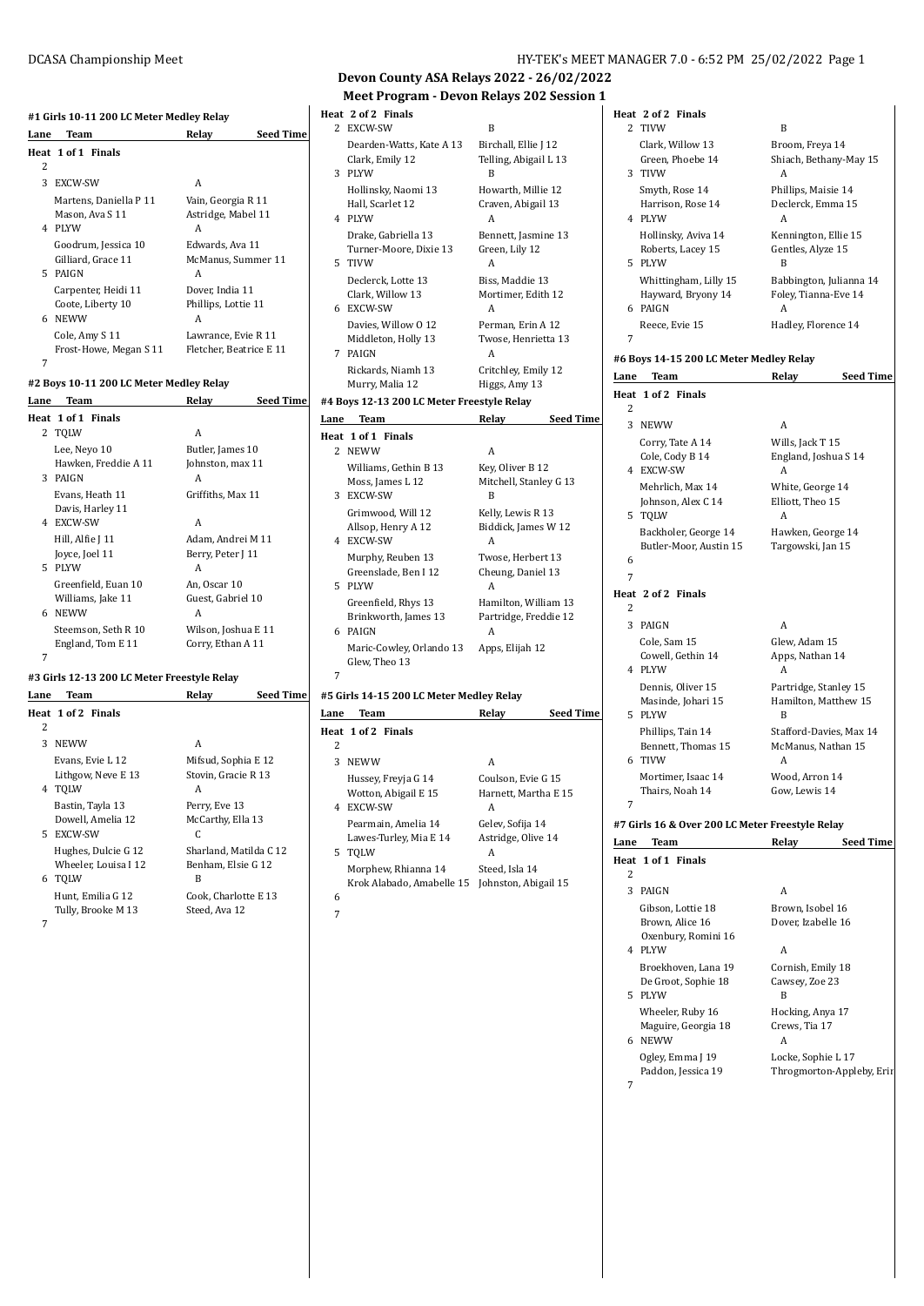#### **#1 Girls 10-11 200 LC Meter Medley Relay**

|      | #1 Girls 10-11 200 LC Meter Medley Relay                 |                                                |                  |
|------|----------------------------------------------------------|------------------------------------------------|------------------|
| Lane | Team                                                     | Relay                                          | <b>Seed Time</b> |
|      | Heat 1 of 1 Finals                                       |                                                |                  |
| 2    |                                                          |                                                |                  |
| 3    | EXCW-SW                                                  | A                                              |                  |
| 4    | Martens, Daniella P 11<br>Mason, Ava S 11<br><b>PLYW</b> | Vain, Georgia R 11<br>Astridge, Mabel 11<br>A  |                  |
|      | Goodrum, Jessica 10<br>Gilliard, Grace 11<br>5 PAIGN     | Edwards, Ava 11<br>McManus, Summer 11<br>A     |                  |
| 6.   | Carpenter, Heidi 11<br>Coote, Liberty 10<br>NEWW         | Dover, India 11<br>Phillips, Lottie 11<br>A    |                  |
| 7    | Cole, Amy S 11<br>Frost-Howe, Megan S 11                 | Lawrance, Evie R 11<br>Fletcher, Beatrice E 11 |                  |

### **#2 Boys 10-11 200 LC Meter Medley Relay**

| Lane | <b>Team</b>          | Relay               | <b>Seed Time</b> |
|------|----------------------|---------------------|------------------|
|      | Heat 1 of 1 Finals   |                     |                  |
|      | 2 TQLW               | A                   |                  |
|      | Lee, Neyo 10         | Butler, James 10    |                  |
|      | Hawken, Freddie A 11 | Johnston, max 11    |                  |
|      | 3 PAIGN              | A                   |                  |
|      | Evans, Heath 11      | Griffiths, Max 11   |                  |
|      | Davis, Harley 11     |                     |                  |
|      | 4 EXCW-SW            | A                   |                  |
|      | Hill, Alfie J 11     | Adam, Andrei M 11   |                  |
|      | Joyce, Joel 11       | Berry, Peter J 11   |                  |
|      | 5 PLYW               | A                   |                  |
|      | Greenfield, Euan 10  | An, Oscar 10        |                  |
|      | Williams, Jake 11    | Guest, Gabriel 10   |                  |
|      | 6 NEWW               | A                   |                  |
|      | Steemson, Seth R 10  | Wilson, Joshua E 11 |                  |
|      | England, Tom E 11    | Corry, Ethan A 11   |                  |
| 7    |                      |                     |                  |

### **#3 Girls 12-13 200 LC Meter Freestyle Relay**

| Lane | Team                                                  | <b>Seed Time</b><br>Relay                         |  |
|------|-------------------------------------------------------|---------------------------------------------------|--|
| 2    | Heat 1 of 2 Finals                                    |                                                   |  |
| 3    | <b>NEWW</b>                                           | A                                                 |  |
|      | Evans, Evie L 12<br>Lithgow, Neve E 13<br>4 TOLW      | Mifsud, Sophia E 12<br>Stovin, Gracie R 13<br>А   |  |
|      | Bastin, Tayla 13<br>Dowell, Amelia 12<br>5 EXCW-SW    | Perry, Eve 13<br>McCarthy, Ella 13<br>C           |  |
|      | Hughes, Dulcie G 12<br>Wheeler, Louisa I 12<br>6 TOLW | Sharland. Matilda C 12<br>Benham, Elsie G 12<br>B |  |
| 7    | Hunt, Emilia G 12<br>Tully, Brooke M 13               | Cook, Charlotte E 13<br>Steed, Ava 12             |  |

## **Devon County ASA Relays 2022 - 26/02/2022 Meet Program - Devon Relays 202 Session 1**

|   | Heat 2 of 2 Finals                                      |                                                    |
|---|---------------------------------------------------------|----------------------------------------------------|
|   | 2 EXCW-SW                                               | B                                                  |
|   | Dearden-Watts, Kate A 13<br>Clark, Emily 12<br>3 PLYW   | Birchall, Ellie J 12<br>Telling, Abigail L 13<br>B |
|   | Hollinsky, Naomi 13<br>Hall, Scarlet 12<br>4 PLYW       | Howarth, Millie 12<br>Craven, Abigail 13<br>A      |
|   | Drake, Gabriella 13<br>Turner-Moore, Dixie 13<br>5 TIVW | Bennett, Jasmine 13<br>Green, Lily 12<br>A         |
|   | Declerck, Lotte 13<br>Clark, Willow 13<br>6 EXCW-SW     | Biss, Maddie 13<br>Mortimer, Edith 12<br>A         |
|   | Davies, Willow 0 12<br>Middleton, Holly 13<br>7 PAIGN   | Perman, Erin A 12<br>Twose, Henrietta 13<br>A      |
|   | Rickards, Niamh 13<br>Murry, Malia 12                   | Critchley, Emily 12<br>Higgs, Amy 13               |
|   | #4 Boys 12-13 200 LC Meter Freestyle Relay              |                                                    |
|   | Lane Team                                               | <b>Seed Time</b><br>Relay                          |
|   | Heat 1 of 1 Finals                                      |                                                    |
|   | 2 NEWW                                                  | A                                                  |
|   | Williams, Gethin B 13<br>Moss, James L 12<br>3 EXCW-SW  | Key, Oliver B 12<br>Mitchell, Stanley G 13<br>B    |
|   | Grimwood, Will 12<br>Allsop, Henry A 12<br>4 EXCW-SW    | Kelly, Lewis R 13<br>Biddick, James W 12<br>А      |
|   | Murphy, Reuben 13<br>Greenslade, Ben I 12<br>5 PLYW     | Twose, Herbert 13<br>Cheung, Daniel 13<br>A        |
|   | Greenfield, Rhys 13<br>Brinkworth, James 13<br>6 PAIGN  | Hamilton, William 13<br>Partridge, Freddie 12<br>A |
|   | Maric-Cowley, Orlando 13<br>Glew, Theo 13               | Apps, Elijah 12                                    |
| 7 |                                                         |                                                    |
|   | #5 Girls 14-15 200 LC Meter Medley Relay                |                                                    |
|   | Lane Team<br>Heat 1 of 2 Finals                         | <b>Seed Time</b><br>Relay                          |
| 2 |                                                         |                                                    |
|   | 3 NEWW                                                  | A                                                  |
|   | Hussey, Freyja G 14<br>Wotton, Abigail E 15             | Coulson, Evie G 15<br>Harnett, Martha E 15         |

### 4 EXCW-SW A Pearmain, Amelia 14 Gelev, Sofija 14<br>Lawes-Turley, Mia E 14 Astridge, Olive 14 Lawes-Turley, Mia E 14 5 TQLW A Morphew, Rhianna 14 Steed, Isla 14 Krok Alabado, Amabelle 15 Johnston, Abigail 15

6 7

### **Heat 2 of 2 Finals** 2 TIVW B Clark, Willow 13 Broom, Freya 14 Green, Phoebe 14 Shiach, Bethany-May 15 3 TIVW A Smyth, Rose 14 Phillips, Maisie 14 Harrison, Rose 14 Declerck, Emma 15 4 PLYW A Hollinsky, Aviva 14 Kennington, Ellie 15<br>Roberts, Lacey 15 Gentles, Alyze 15 Roberts, Lacey 15 5 PLYW B Whittingham, Lilly 15 Babbington, Julianna 14 Hayward, Bryony 14 Foley, Tianna-Eve 14 6 PAIGN A Reece, Evie 15 Hadley, Florence 14 7

### **#6 Boys 14-15 200 LC Meter Medley Relay**

| Lane | Team                                            | Relay                   | <b>Seed Time</b> |
|------|-------------------------------------------------|-------------------------|------------------|
|      | Heat 1 of 2 Finals                              |                         |                  |
| 2    |                                                 |                         |                  |
| 3    | <b>NEWW</b>                                     | A                       |                  |
|      | Corry, Tate A 14                                | Wills, Jack T 15        |                  |
|      | Cole, Cody B 14                                 | England, Joshua S 14    |                  |
|      | 4 EXCW-SW                                       | A                       |                  |
|      | Mehrlich, Max 14                                | White, George 14        |                  |
|      | Johnson, Alex C 14                              | Elliott, Theo 15        |                  |
|      | 5 TOLW                                          | A                       |                  |
|      | Backholer, George 14                            | Hawken, George 14       |                  |
|      | Butler-Moor, Austin 15                          | Targowski, Jan 15       |                  |
| 6    |                                                 |                         |                  |
| 7    |                                                 |                         |                  |
|      | Heat 2 of 2 Finals                              |                         |                  |
| 2    |                                                 |                         |                  |
| 3    | PAIGN                                           | A                       |                  |
|      | Cole, Sam 15                                    | Glew, Adam 15           |                  |
|      | Cowell, Gethin 14                               | Apps, Nathan 14         |                  |
|      | 4 PLYW                                          | А                       |                  |
|      | Dennis, Oliver 15                               | Partridge, Stanley 15   |                  |
|      | Masinde, Johari 15                              | Hamilton, Matthew 15    |                  |
|      | 5 PLYW                                          | B                       |                  |
|      | Phillips, Tain 14                               | Stafford-Davies, Max 14 |                  |
|      | Bennett, Thomas 15                              | McManus, Nathan 15      |                  |
|      | 6 TIVW                                          | А                       |                  |
|      | Mortimer, Isaac 14                              | Wood, Arron 14          |                  |
|      | Thairs, Noah 14                                 | Gow, Lewis 14           |                  |
| 7    |                                                 |                         |                  |
|      | #7 Girls 16 & Over 200 LC Meter Freestyle Relay |                         |                  |
| Lane | Team                                            | Relav                   | <b>Seed Time</b> |

| Lalle | геаш                | леіау                     | seeu rune |
|-------|---------------------|---------------------------|-----------|
|       | Heat 1 of 1 Finals  |                           |           |
| 2     |                     |                           |           |
| 3     | PAIGN               | А                         |           |
|       | Gibson, Lottie 18   | Brown, Isobel 16          |           |
|       | Brown, Alice 16     | Dover, Izabelle 16        |           |
|       | Oxenbury, Romini 16 |                           |           |
| 4     | <b>PLYW</b>         | А                         |           |
|       | Broekhoven, Lana 19 | Cornish, Emily 18         |           |
|       | De Groot, Sophie 18 | Cawsey, Zoe 23            |           |
|       | 5 PLYW              | B                         |           |
|       | Wheeler, Ruby 16    | Hocking, Anya 17          |           |
|       | Maguire, Georgia 18 | Crews, Tia 17             |           |
| 6     | <b>NEWW</b>         | А                         |           |
|       | Ogley, Emma J 19    | Locke, Sophie L 17        |           |
|       | Paddon, Jessica 19  | Throgmorton-Appleby, Erir |           |
| 7     |                     |                           |           |
|       |                     |                           |           |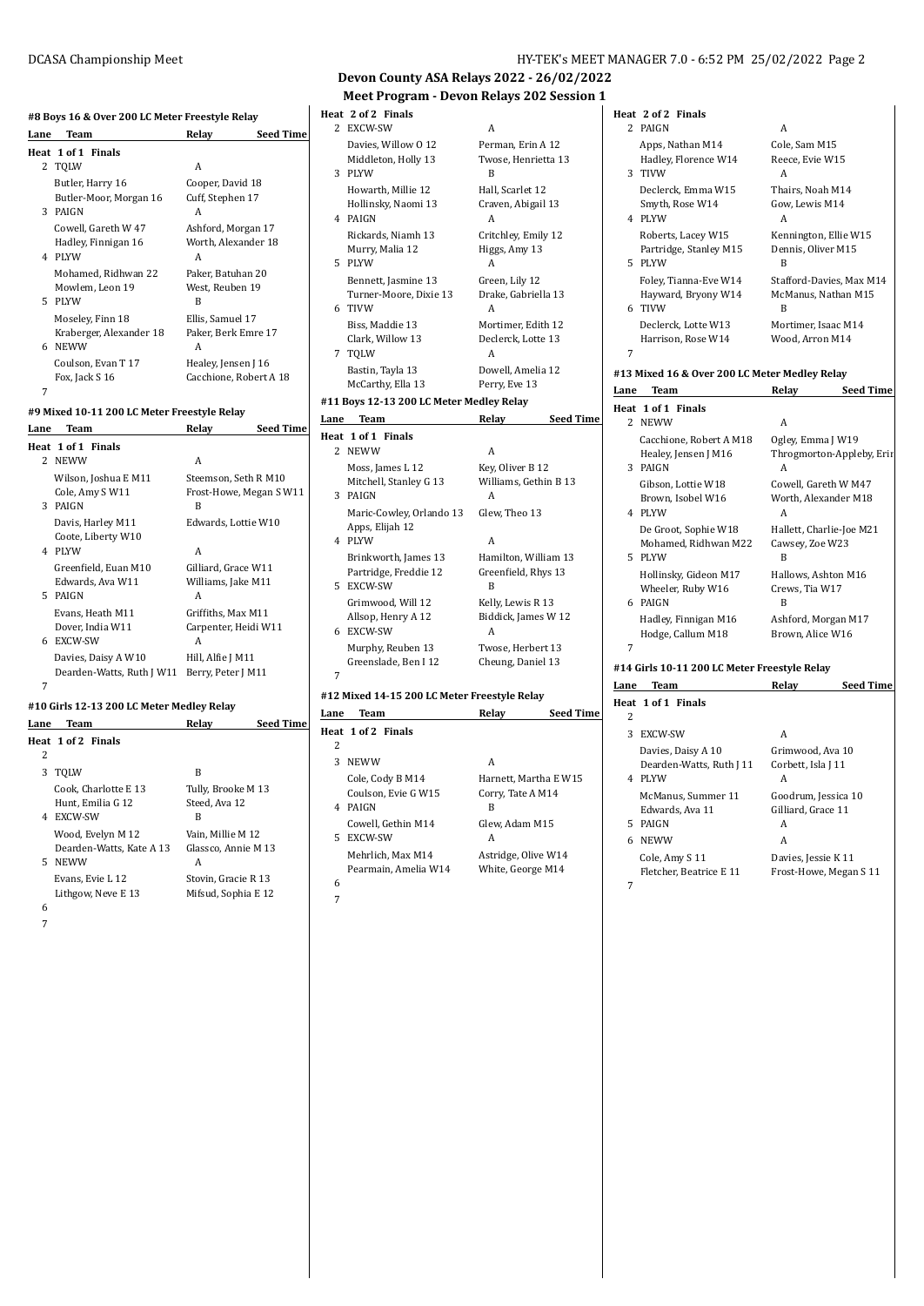# **#8 Boys 16 & Over 200 LC Meter Freestyle Relay**

|      | <b>110 DOYS TO &amp; OVER 200 BG MERE TREESIVIE RETAY</b> |                           |  |
|------|-----------------------------------------------------------|---------------------------|--|
| Lane | Team                                                      | <b>Seed Time</b><br>Relay |  |
|      | Heat 1 of 1 Finals                                        |                           |  |
|      | 2 TQLW                                                    | A                         |  |
|      | Butler, Harry 16                                          | Cooper, David 18          |  |
|      | Butler-Moor, Morgan 16                                    | Cuff, Stephen 17          |  |
| 3    | PAIGN                                                     | A                         |  |
|      | Cowell. Gareth W 47                                       | Ashford, Morgan 17        |  |
|      | Hadley, Finnigan 16                                       | Worth, Alexander 18       |  |
| 4    | <b>PLYW</b>                                               | A                         |  |
|      | Mohamed, Ridhwan 22                                       | Paker, Batuhan 20         |  |
|      | Mowlem, Leon 19                                           | West, Reuben 19           |  |
| 5.   | PLYW                                                      | B                         |  |
|      | Moseley, Finn 18                                          | Ellis, Samuel 17          |  |
|      | Kraberger, Alexander 18                                   | Paker, Berk Emre 17       |  |
| 6    | <b>NEWW</b>                                               | A                         |  |
|      | Coulson, Evan T 17                                        | Healey, Jensen J 16       |  |
|      | Fox, Jack S 16                                            | Cacchione, Robert A 18    |  |
| 7    |                                                           |                           |  |

#### **#9 Mixed 10-11 200 LC Meter Freestyle Relay**

| Team                      | Relay                   | <b>Seed Time</b> |
|---------------------------|-------------------------|------------------|
| Heat 1 of 1 Finals        |                         |                  |
|                           |                         |                  |
| Wilson, Joshua E M11      | Steemson, Seth R M10    |                  |
| Cole, Amy SW11            | Frost-Howe, Megan S W11 |                  |
| PAIGN                     | B                       |                  |
| Davis, Harley M11         | Edwards, Lottie W10     |                  |
| Coote, Liberty W10        |                         |                  |
| 4 PLYW                    | A                       |                  |
| Greenfield. Euan M10      | Gilliard, Grace W11     |                  |
| Edwards, Ava W11          | Williams, Jake M11      |                  |
| PAIGN                     | A                       |                  |
| Evans, Heath M11          | Griffiths. Max M11      |                  |
| Dover, India W11          | Carpenter, Heidi W11    |                  |
| EXCW-SW                   | A                       |                  |
| Davies, Daisy A W10       | Hill, Alfie J M11       |                  |
| Dearden-Watts, Ruth J W11 | Berry, Peter J M11      |                  |
|                           |                         |                  |
|                           | 2 NEWW                  | A                |

#### **#10 Girls 12-13 200 LC Meter Medley Relay**

| Lane | Team                     | Relav               | <b>Seed Time</b> |
|------|--------------------------|---------------------|------------------|
|      | Heat 1 of 2 Finals       |                     |                  |
| 2    |                          |                     |                  |
| 3    | TOLW                     | B                   |                  |
|      | Cook. Charlotte E 13     | Tully, Brooke M 13  |                  |
|      | Hunt, Emilia G 12        | Steed, Ava 12       |                  |
| 4    | EXCW-SW                  | B                   |                  |
|      | Wood, Evelyn M 12        | Vain. Millie M 12   |                  |
|      | Dearden-Watts, Kate A 13 | Glassco. Annie M 13 |                  |
|      | 5 NEWW                   | А                   |                  |
|      | Evans, Evie L 12         | Stovin, Gracie R 13 |                  |
|      | Lithgow, Neve E 13       | Mifsud, Sophia E 12 |                  |
| 6    |                          |                     |                  |

7

### **Devon County ASA Relays 2022 - 26/02/2022 Meet Program - Devon Relays 202 Session 1**

|      | Heat 2 of 2 Finals<br>2 EXCW-SW                            | A                                                |
|------|------------------------------------------------------------|--------------------------------------------------|
|      | Davies, Willow 0 12<br>Middleton, Holly 13<br>3 PLYW       | Perman, Erin A 12<br>Twose, Henrietta 13<br>В    |
|      | Howarth, Millie 12<br>Hollinsky, Naomi 13<br>4 PAIGN       | Hall, Scarlet 12<br>Craven, Abigail 13<br>A      |
|      | Rickards, Niamh 13<br>Murry, Malia 12<br>5 PLYW            | Critchley, Emily 12<br>Higgs, Amy 13<br>A        |
|      | Bennett, Jasmine 13<br>Turner-Moore, Dixie 13<br>6 TIVW    | Green, Lily 12<br>Drake, Gabriella 13<br>A       |
|      | Biss, Maddie 13<br>Clark, Willow 13<br>7 TQLW              | Mortimer, Edith 12<br>Declerck, Lotte 13<br>A    |
|      | Bastin, Tayla 13<br>McCarthy, Ella 13                      | Dowell, Amelia 12<br>Perry, Eve 13               |
|      | #11 Boys 12-13 200 LC Meter Medley Relay                   |                                                  |
| Lane | Team                                                       | Relay<br><b>Seed Time</b>                        |
|      |                                                            |                                                  |
| Heat | 1 of 1 Finals<br>2 NEWW                                    | A                                                |
|      | Moss, James L 12<br>Mitchell, Stanley G 13<br>3 PAIGN      | Key, Oliver B 12<br>Williams, Gethin B 13<br>A   |
|      | Maric-Cowley, Orlando 13<br>Apps, Elijah 12<br>4 PLYW      | Glew, Theo 13<br>A                               |
|      | Brinkworth, James 13<br>Partridge, Freddie 12<br>5 EXCW-SW | Hamilton, William 13<br>Greenfield, Rhys 13<br>B |
|      | Grimwood, Will 12<br>Allsop, Henry A 12<br>6 EXCW-SW       | Kelly, Lewis R 13<br>Biddick, James W 12<br>A    |

### **#12 Mixed 14-15 200 LC Meter Freestyle Relay**

| Lane | Team                 | Relav                 | <b>Seed Time</b> |
|------|----------------------|-----------------------|------------------|
|      | Heat 1 of 2 Finals   |                       |                  |
| 2    |                      |                       |                  |
| 3    | <b>NEWW</b>          | А                     |                  |
|      | Cole, Cody B M14     | Harnett. Martha E W15 |                  |
|      | Coulson. Evie G W15  | Corry, Tate A M14     |                  |
|      | 4 PAIGN              | В                     |                  |
|      | Cowell. Gethin M14   | Glew. Adam M15        |                  |
|      | 5 EXCW-SW            | А                     |                  |
|      | Mehrlich, Max M14    | Astridge, Olive W14   |                  |
|      | Pearmain, Amelia W14 | White, George M14     |                  |
| 6    |                      |                       |                  |

#### 7

### **Heat 2 of 2 Finals** 2 PAIGN A Apps, Nathan M14 Cole, Sam M15 Hadley, Florence W14 Reece, Evie W15 3 TIVW A Declerck, Emma W15 Thairs, Noah M14 Smyth, Rose W14 Gow, Lewis M14 4 PLYW A Roberts, Lacey W15 Kennington, Ellie W15<br>Partridge, Stanley M15 Dennis, Oliver M15 Partridge, Stanley M15 Den<br>PLYW B 5 PLYW Foley, Tianna-Eve W14 Stafford-Davies, Max M14 Hayward, Bryony W14 McManus, Nathan M15 6 TIVW B Declerck, Lotte W13 Mortimer, Isaac M14 Harrison, Rose W14 Wood, Arron M14 7 **#13 Mixed 16 & Over 200 LC Meter Medley Relay**

| Lane | Team                                         | Relay                                 | <b>Seed Time</b> |
|------|----------------------------------------------|---------------------------------------|------------------|
|      | Heat 1 of 1 Finals                           |                                       |                  |
|      | 2 NEWW                                       | A                                     |                  |
|      | Cacchione, Robert A M18                      | Ogley, Emma J W19                     |                  |
| 3    | Healey, Jensen J M16<br>PAIGN                | Throgmorton-Appleby, Erir             |                  |
|      |                                              | A                                     |                  |
|      | Gibson, Lottie W18                           | Cowell, Gareth W M47                  |                  |
|      | Brown, Isobel W16<br>4 PLYW                  | Worth, Alexander M18<br>A             |                  |
|      | De Groot, Sophie W18                         | Hallett, Charlie-Joe M21              |                  |
|      | Mohamed, Ridhwan M22                         | Cawsey, Zoe W23                       |                  |
|      | 5 PLYW                                       | B                                     |                  |
|      | Hollinsky, Gideon M17                        | Hallows, Ashton M16<br>Crews, Tia W17 |                  |
|      | Wheeler, Ruby W16                            |                                       |                  |
|      | 6 PAIGN                                      | R                                     |                  |
|      | Hadley, Finnigan M16                         | Ashford, Morgan M17                   |                  |
|      | Hodge, Callum M18                            | Brown, Alice W16                      |                  |
| 7    |                                              |                                       |                  |
|      | #14 Girls 10-11 200 LC Meter Freestyle Relay |                                       |                  |
| Lane | <b>Team</b>                                  | Relay                                 | <b>Seed Time</b> |
|      | Heat 1 of 1 Finals                           |                                       |                  |
| 2    |                                              |                                       |                  |
| 3    | <b>EXCW-SW</b>                               | A                                     |                  |
|      | Davies, Daisy A 10                           | Grimwood, Ava 10                      |                  |
|      | Dearden-Watts, Ruth J 11                     | Corbett, Isla J 11                    |                  |
| 4    | PLYW                                         | A                                     |                  |
|      | McManus, Summer 11                           | Goodrum, Jessica 10                   |                  |

Edwards, Ava 11 Gilliard, Grace 11

Cole, Amy S 11 Davies, Jessie K 11 Fletcher, Beatrice E 11 Frost-Howe, Megan S 11

5 PAIGN A 6 NEWW A

7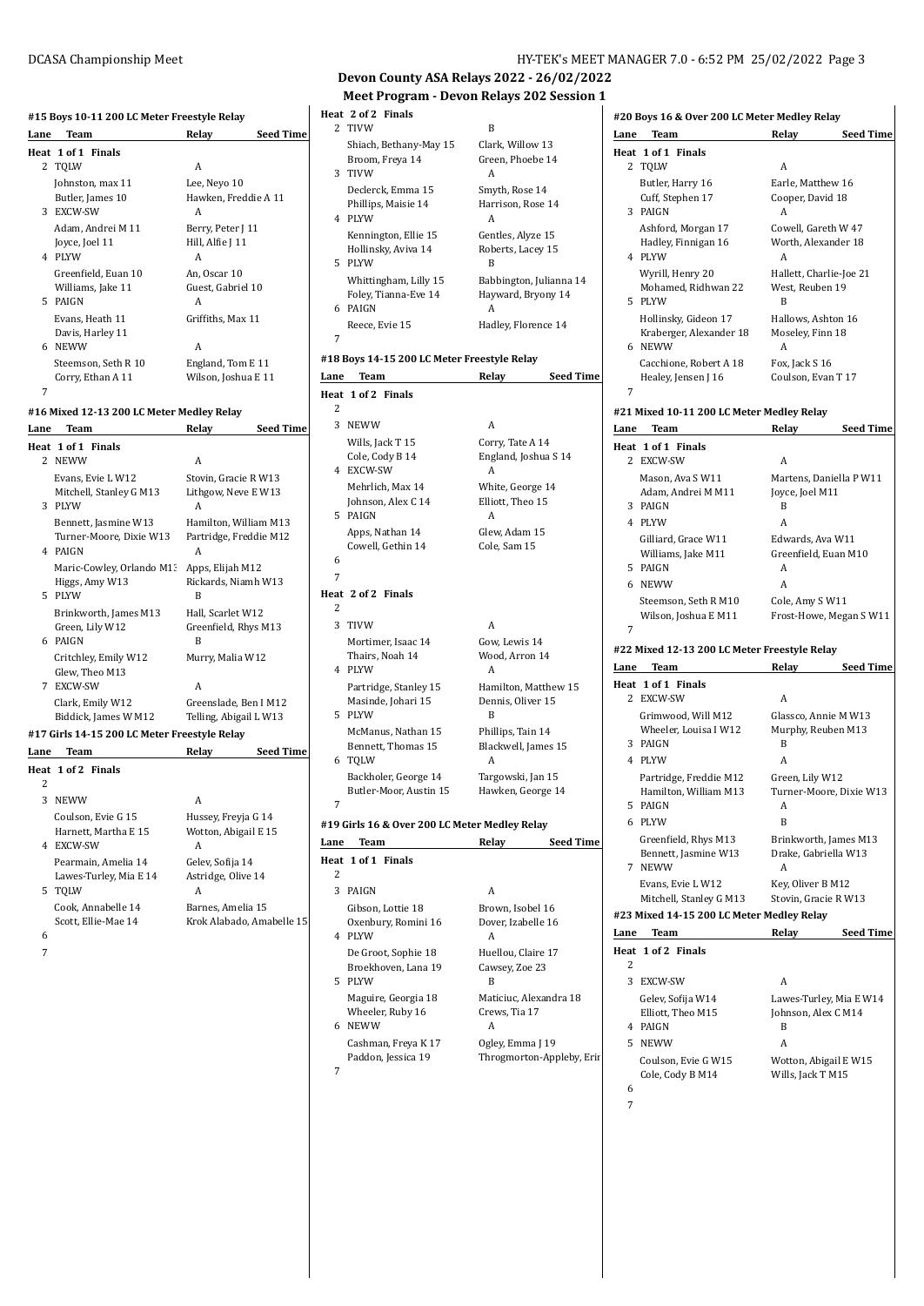# **#15 Boys 10-11 200 LC Meter Freestyle Relay Lane Team Relay Seed Time**

|      | Heat 1 of 1 Finals                        |                           |
|------|-------------------------------------------|---------------------------|
|      | 2 TQLW                                    | A                         |
|      | Johnston, max 11                          | Lee, Neyo 10              |
|      | Butler, James 10                          | Hawken, Freddie A 11      |
|      | 3 EXCW-SW                                 | A                         |
|      | Adam, Andrei M 11                         | Berry, Peter J 11         |
|      | Joyce, Joel 11                            | Hill, Alfie J 11          |
|      | 4 PLYW                                    | A                         |
|      | Greenfield, Euan 10                       | An. Oscar 10              |
|      | Williams, Jake 11                         | Guest, Gabriel 10         |
|      | 5 PAIGN                                   | A                         |
|      | Evans, Heath 11                           | Griffiths, Max 11         |
|      | Davis, Harley 11                          |                           |
|      | 6 NEWW                                    | A                         |
|      | Steemson, Seth R 10                       | England, Tom E 11         |
|      | Corry, Ethan A 11                         | Wilson, Joshua E 11       |
| 7    |                                           |                           |
|      | #16 Mixed 12-13 200 LC Meter Medley Relay |                           |
| Lane | Team                                      | Relay<br><b>Seed Time</b> |
|      | Heat 1 of 1 Finals                        |                           |
|      | 2 NEWW                                    | A                         |
|      | Evans, Evie L W12                         | Stovin. Gracie R W13      |
|      | Mitchell, Stanley G M13                   | Lithgow, Neve E W13       |
|      | 2.11                                      | $\Lambda$                 |

|    | <b>INIS VV VV</b>                            | A                                           |
|----|----------------------------------------------|---------------------------------------------|
|    | Evans, Evie L W12<br>Mitchell, Stanley G M13 | Stovin, Gracie R W13<br>Lithgow, Neve E W13 |
| 3  | <b>PIYW</b>                                  | A                                           |
|    | Bennett, Jasmine W13                         | Hamilton, William M13                       |
|    | Turner-Moore, Dixie W13<br>4 PAIGN           | Partridge, Freddie M12<br>A                 |
|    | Maric-Cowley, Orlando M1:                    | Apps, Elijah M12                            |
|    | Higgs, Amy W13                               | Rickards, Niamh W13                         |
| 5. | <b>PLYW</b>                                  | В                                           |
|    | Brinkworth, James M13                        | Hall, Scarlet W12                           |
|    | Green, Lily W12                              | Greenfield, Rhys M13                        |
|    | 6 PAIGN                                      | R                                           |
|    | Critchley, Emily W12                         | Murry, Malia W12                            |
|    | Glew, Theo M13                               |                                             |
| 7  | EXCW-SW                                      | A                                           |
|    | Clark, Emily W12                             | Greenslade, Ben I M12                       |
|    | Biddick, James W M12                         | Telling, Abigail L W13                      |
|    |                                              |                                             |

### **#17 Girls 14-15 200 LC Meter Freestyle Relay**

| Lane    | Team                                                     | Relav                                       | <b>Seed Time</b>          |
|---------|----------------------------------------------------------|---------------------------------------------|---------------------------|
|         | Heat 1 of 2 Finals                                       |                                             |                           |
| 2       |                                                          |                                             |                           |
| 3       | <b>NEWW</b>                                              | A                                           |                           |
|         | Coulson, Evie G 15<br>Harnett, Martha E 15               | Hussey, Freyja G 14<br>Wotton, Abigail E 15 |                           |
| 4       | EXCW-SW<br>Pearmain, Amelia 14<br>Lawes-Turley, Mia E 14 | А<br>Gelev, Sofija 14<br>Astridge, Olive 14 |                           |
| 5.<br>6 | TOLW<br>Cook, Annabelle 14<br>Scott. Ellie-Mae 14        | А<br>Barnes, Amelia 15                      | Krok Alabado, Amabelle 15 |

7

DCASA Championship Meet HY-TEK's MEET MANAGER 7.0 - 6:52 PM 25/02/2022 Page 3

**#20 Boys 16 & Over 200 LC Meter Medley Relay**

### **Devon County ASA Relays 2022 - 26/02/2022 Meet Program - Devon Relays 202 Session 1**

|        | Meet Flugiam - Devun Relays 202 Sessiun .     |                                        |
|--------|-----------------------------------------------|----------------------------------------|
|        | Heat 2 of 2 Finals                            |                                        |
| 2      | <b>TIVW</b>                                   | B                                      |
|        | Shiach, Bethany-May 15<br>Broom, Freya 14     | Clark, Willow 13<br>Green, Phoebe 14   |
| 3      | TIVW                                          | A                                      |
|        | Declerck, Emma 15                             | Smyth, Rose 14                         |
|        | Phillips, Maisie 14                           | Harrison, Rose 14                      |
|        | 4 PLYW                                        | A                                      |
|        | Kennington, Ellie 15<br>Hollinsky, Aviva 14   | Gentles, Alyze 15<br>Roberts, Lacey 15 |
| 5      | PLYW                                          | B                                      |
|        | Whittingham, Lilly 15                         | Babbington, Julianna 14                |
| 6      | Foley, Tianna-Eve 14<br>PAIGN                 | Hayward, Bryony 14                     |
|        | Reece, Evie 15                                | A<br>Hadley, Florence 14               |
| 7      |                                               |                                        |
|        | #18 Boys 14-15 200 LC Meter Freestyle Relay   |                                        |
|        | Lane Team                                     | <b>Seed Time</b><br>Relay              |
|        | Heat 1 of 2 Finals                            |                                        |
| 2      |                                               |                                        |
| 3      | NEWW                                          | A                                      |
|        | Wills, Jack T 15                              | Corry, Tate A 14                       |
|        | Cole, Cody B 14<br>4 EXCW-SW                  | England, Joshua S 14<br>A              |
|        | Mehrlich, Max 14                              | White, George 14                       |
|        | Johnson, Alex C 14                            | Elliott, Theo 15                       |
| 5.     | PAIGN                                         | А                                      |
|        | Apps, Nathan 14<br>Cowell, Gethin 14          | Glew, Adam 15<br>Cole, Sam 15          |
| 6      |                                               |                                        |
| 7      |                                               |                                        |
|        | Heat 2 of 2 Finals                            |                                        |
| 2<br>3 |                                               |                                        |
|        | <b>TIVW</b><br>Mortimer, Isaac 14             | A<br>Gow, Lewis 14                     |
|        | Thairs, Noah 14                               | Wood, Arron 14                         |
|        | 4 PLYW                                        | A                                      |
|        | Partridge, Stanley 15                         | Hamilton, Matthew 15                   |
|        | Masinde, Johari 15<br>5 PLYW                  | Dennis, Oliver 15<br>B                 |
|        | McManus, Nathan 15                            | Phillips, Tain 14                      |
|        | Bennett, Thomas 15                            | Blackwell, James 15                    |
|        | 6 TQLW                                        | A                                      |
|        | Backholer, George 14                          | Targowski, Jan 15                      |
| 7      | Butler-Moor, Austin 15                        | Hawken, George 14                      |
|        | #19 Girls 16 & Over 200 LC Meter Medley Relay |                                        |
|        | Lane Team                                     | Relay Seed Time                        |
|        | Heat 1 of 1 Finals                            |                                        |
| 2      |                                               |                                        |
|        | 3 PAIGN                                       | A                                      |
|        | Gibson, Lottie 18                             | Brown, Isobel 16                       |
|        | Oxenbury, Romini 16<br>4 PLYW                 | Dover, Izabelle 16<br>A                |
|        | De Groot, Sophie 18                           | Huellou, Claire 17                     |
|        | Broekhoven, Lana 19                           | Cawsey, Zoe 23                         |
| 5      | PLYW                                          | B                                      |
|        | Maguire, Georgia 18                           | Maticiuc, Alexandra 18                 |
|        | Wheeler, Ruby 16<br>6 NEWW                    | Crews, Tia 17<br>A                     |
|        | Cashman, Freya K 17                           | Ogley, Emma J 19                       |
|        | Paddon, Jessica 19                            | Throgmorton-Appleby, Erir              |

7

### **Lane Team Relay Seed Time Heat 1 of 1 Finals** 2 TQLW A Butler, Harry 16 Earle, Matthew 16 Cuff, Stephen 17 Cooper, David 18 3 PAIGN A Ashford, Morgan 17 Cowell, Gareth W 47 Hadley, Finnigan 16 Worth, Alexander 18 4 PLYW A Wyrill, Henry 20 Hallett, Charlie-Joe 21 Mohamed, Ridhwan 22 West, Reuben 19 5 PLYW B Hollinsky, Gideon 17 Hallows, Ashton 16<br>Kraberger, Alexander 18 Moseley, Finn 18 Kraberger, Alexander 18 6 NEWW A Cacchione, Robert A 18 Fox, Jack S 16 Healey, Jensen J 16 Coulson, Evan T 17 7 **#21 Mixed 10-11 200 LC Meter Medley Relay Lane Team Relay Seed Time Heat 1 of 1 Finals** 2 EXCW-SW A Mason, Ava S W11 Martens, Daniella P W11 Adam, Andrei M M11 Joyce, Joel M11 3 PAIGN B 4 PLYW A Gilliard, Grace W11 Edwards, Ava W11<br>Williams, Jake M11 Greenfield, Euan M Greenfield, Euan M10 5 PAIGN A 6 NEWW A Steemson, Seth R M10 Cole, Amy S W11 Wilson, Joshua E M11 Frost-Howe, Megan S W11 7 **#22 Mixed 12-13 200 LC Meter Freestyle Relay Lane Team Relay Seed Time Heat 1 of 1 Finals** 2 EXCW-SW A Grimwood, Will M12 Glassco, Annie M W13 Wheeler, Louisa I W12 Murphy, Reuben M13 3 PAIGN B 4 PLYW A Partridge, Freddie M12 Green, Lily W12 Hamilton, William M13 Turner-Moore, Dixie W13 5 PAIGN A 6 PLYW B Greenfield, Rhys M13 Brinkworth, James M13 Bennett, Jasmine W13 Drake, Gabriella W13 7 NEWW A Evans, Evie L W12 Key, Oliver B M12<br>Mitchell, Stanley G M13 Stovin, Gracie R W13 Mitchell, Stanley G M13 **#23 Mixed 14-15 200 LC Meter Medley Relay Lane Team Relay Seed Time Heat 1 of 2 Finals**  $\overline{2}$ 3 EXCW-SW A Gelev, Sofija W14 Lawes-Turley, Mia E W14 Elliott, Theo M15 Johnson, Alex C M14 4 PAIGN B

- 
- 6 7

5 NEWW A

Coulson, Evie G W15 Wotton, Abigail E W15 Cole, Cody B M14 Wills, Jack T M15